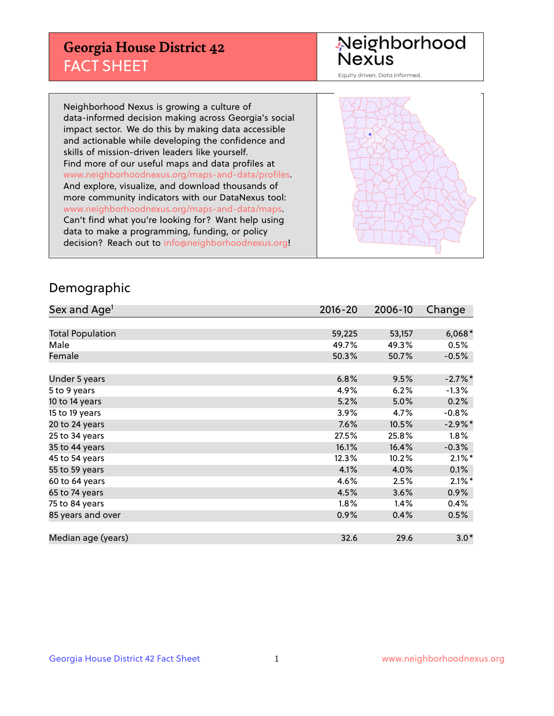## **Georgia House District 42** FACT SHEET

# Neighborhood<br>Nexus

Equity driven. Data informed.

Neighborhood Nexus is growing a culture of data-informed decision making across Georgia's social impact sector. We do this by making data accessible and actionable while developing the confidence and skills of mission-driven leaders like yourself. Find more of our useful maps and data profiles at www.neighborhoodnexus.org/maps-and-data/profiles. And explore, visualize, and download thousands of more community indicators with our DataNexus tool: www.neighborhoodnexus.org/maps-and-data/maps. Can't find what you're looking for? Want help using data to make a programming, funding, or policy decision? Reach out to [info@neighborhoodnexus.org!](mailto:info@neighborhoodnexus.org)



#### Demographic

| Sex and Age <sup>1</sup> | $2016 - 20$ | 2006-10 | Change     |
|--------------------------|-------------|---------|------------|
|                          |             |         |            |
| <b>Total Population</b>  | 59,225      | 53,157  | $6,068*$   |
| Male                     | 49.7%       | 49.3%   | 0.5%       |
| Female                   | 50.3%       | 50.7%   | $-0.5%$    |
|                          |             |         |            |
| Under 5 years            | 6.8%        | 9.5%    | $-2.7%$ *  |
| 5 to 9 years             | 4.9%        | 6.2%    | $-1.3%$    |
| 10 to 14 years           | 5.2%        | 5.0%    | 0.2%       |
| 15 to 19 years           | 3.9%        | 4.7%    | $-0.8%$    |
| 20 to 24 years           | 7.6%        | 10.5%   | $-2.9\%$ * |
| 25 to 34 years           | 27.5%       | 25.8%   | 1.8%       |
| 35 to 44 years           | 16.1%       | 16.4%   | $-0.3%$    |
| 45 to 54 years           | 12.3%       | 10.2%   | $2.1\%$ *  |
| 55 to 59 years           | 4.1%        | 4.0%    | 0.1%       |
| 60 to 64 years           | 4.6%        | 2.5%    | $2.1\%$ *  |
| 65 to 74 years           | 4.5%        | 3.6%    | 0.9%       |
| 75 to 84 years           | $1.8\%$     | 1.4%    | 0.4%       |
| 85 years and over        | 0.9%        | 0.4%    | 0.5%       |
|                          |             |         |            |
| Median age (years)       | 32.6        | 29.6    | $3.0*$     |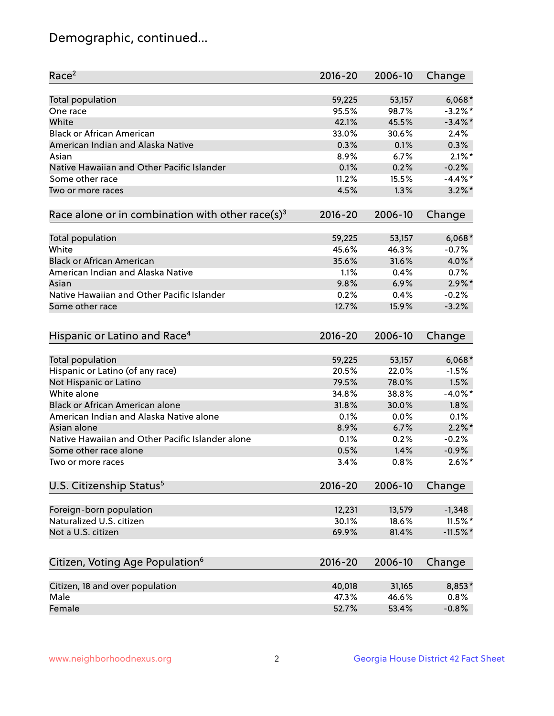## Demographic, continued...

| Race <sup>2</sup>                                            | $2016 - 20$  | 2006-10      | Change      |
|--------------------------------------------------------------|--------------|--------------|-------------|
| Total population                                             | 59,225       | 53,157       | $6,068*$    |
| One race                                                     | 95.5%        | 98.7%        | $-3.2\%$ *  |
| White                                                        | 42.1%        | 45.5%        | $-3.4\%$ *  |
| <b>Black or African American</b>                             | 33.0%        | 30.6%        | 2.4%        |
| American Indian and Alaska Native                            | 0.3%         | 0.1%         | 0.3%        |
| Asian                                                        | 8.9%         | 6.7%         | $2.1\%$ *   |
| Native Hawaiian and Other Pacific Islander                   | 0.1%         | 0.2%         | $-0.2%$     |
| Some other race                                              | 11.2%        | 15.5%        | $-4.4\%$ *  |
| Two or more races                                            | 4.5%         | 1.3%         | $3.2\%$ *   |
| Race alone or in combination with other race(s) <sup>3</sup> | $2016 - 20$  | 2006-10      | Change      |
|                                                              |              |              |             |
| Total population                                             | 59,225       | 53,157       | $6,068*$    |
| White                                                        | 45.6%        | 46.3%        | $-0.7%$     |
| <b>Black or African American</b>                             | 35.6%        | 31.6%        | 4.0%*       |
| American Indian and Alaska Native                            | 1.1%         | 0.4%         | 0.7%        |
| Asian                                                        | 9.8%         | 6.9%         | $2.9\%$ *   |
| Native Hawaiian and Other Pacific Islander                   | 0.2%         | 0.4%         | $-0.2%$     |
| Some other race                                              | 12.7%        | 15.9%        | $-3.2%$     |
|                                                              |              |              |             |
| Hispanic or Latino and Race <sup>4</sup>                     | $2016 - 20$  | 2006-10      | Change      |
| Total population                                             | 59,225       | 53,157       | $6,068*$    |
| Hispanic or Latino (of any race)                             | 20.5%        | 22.0%        | $-1.5%$     |
| Not Hispanic or Latino                                       | 79.5%        | 78.0%        | 1.5%        |
| White alone                                                  | 34.8%        | 38.8%        | $-4.0\%$ *  |
| Black or African American alone                              | 31.8%        | 30.0%        | 1.8%        |
| American Indian and Alaska Native alone                      |              |              | 0.1%        |
| Asian alone                                                  | 0.1%<br>8.9% | 0.0%<br>6.7% | $2.2\%$ *   |
| Native Hawaiian and Other Pacific Islander alone             |              |              |             |
| Some other race alone                                        | 0.1%         | 0.2%         | $-0.2%$     |
|                                                              | 0.5%         | 1.4%         | $-0.9%$     |
| Two or more races                                            | 3.4%         | 0.8%         | $2.6\%$ *   |
| U.S. Citizenship Status <sup>5</sup>                         | $2016 - 20$  | 2006-10      | Change      |
| Foreign-born population                                      | 12,231       | 13,579       | $-1,348$    |
| Naturalized U.S. citizen                                     | 30.1%        | 18.6%        | 11.5%*      |
| Not a U.S. citizen                                           | 69.9%        | 81.4%        | $-11.5\%$ * |
|                                                              |              |              |             |
| Citizen, Voting Age Population <sup>6</sup>                  | 2016-20      | 2006-10      | Change      |
| Citizen, 18 and over population                              | 40,018       | 31,165       | 8,853*      |
| Male                                                         | 47.3%        | 46.6%        | 0.8%        |
| Female                                                       | 52.7%        | 53.4%        | $-0.8%$     |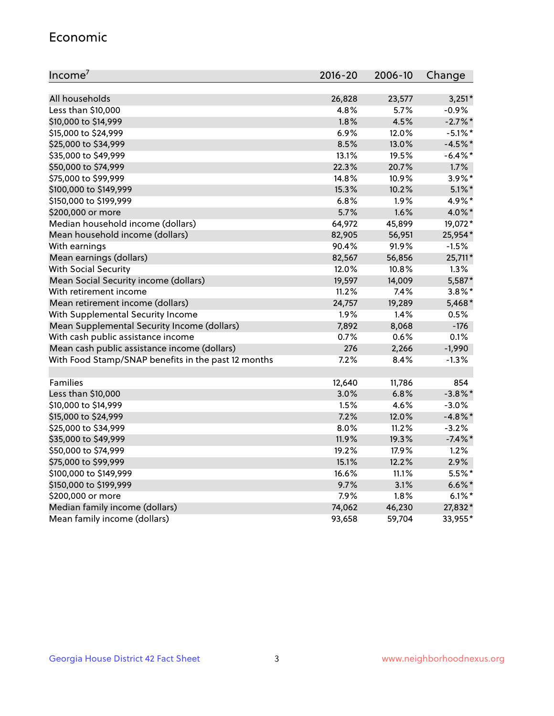#### Economic

| Income <sup>7</sup>                                 | $2016 - 20$ | 2006-10 | Change     |
|-----------------------------------------------------|-------------|---------|------------|
|                                                     |             |         |            |
| All households                                      | 26,828      | 23,577  | $3,251*$   |
| Less than \$10,000                                  | 4.8%        | 5.7%    | $-0.9%$    |
| \$10,000 to \$14,999                                | 1.8%        | 4.5%    | $-2.7\%$ * |
| \$15,000 to \$24,999                                | 6.9%        | 12.0%   | $-5.1\%$ * |
| \$25,000 to \$34,999                                | 8.5%        | 13.0%   | $-4.5%$ *  |
| \$35,000 to \$49,999                                | 13.1%       | 19.5%   | $-6.4\%$ * |
| \$50,000 to \$74,999                                | 22.3%       | 20.7%   | 1.7%       |
| \$75,000 to \$99,999                                | 14.8%       | 10.9%   | $3.9\%$ *  |
| \$100,000 to \$149,999                              | 15.3%       | 10.2%   | $5.1\%$ *  |
| \$150,000 to \$199,999                              | 6.8%        | 1.9%    | 4.9%*      |
| \$200,000 or more                                   | 5.7%        | 1.6%    | 4.0%*      |
| Median household income (dollars)                   | 64,972      | 45,899  | 19,072*    |
| Mean household income (dollars)                     | 82,905      | 56,951  | 25,954*    |
| With earnings                                       | 90.4%       | 91.9%   | $-1.5%$    |
| Mean earnings (dollars)                             | 82,567      | 56,856  | 25,711*    |
| <b>With Social Security</b>                         | 12.0%       | 10.8%   | 1.3%       |
| Mean Social Security income (dollars)               | 19,597      | 14,009  | 5,587*     |
| With retirement income                              | 11.2%       | 7.4%    | $3.8\%$ *  |
| Mean retirement income (dollars)                    | 24,757      | 19,289  | $5,468*$   |
| With Supplemental Security Income                   | 1.9%        | 1.4%    | 0.5%       |
| Mean Supplemental Security Income (dollars)         | 7,892       | 8,068   | $-176$     |
| With cash public assistance income                  | 0.7%        | 0.6%    | 0.1%       |
| Mean cash public assistance income (dollars)        | 276         | 2,266   | $-1,990$   |
| With Food Stamp/SNAP benefits in the past 12 months | 7.2%        | 8.4%    | $-1.3%$    |
|                                                     |             |         |            |
| Families                                            | 12,640      | 11,786  | 854        |
| Less than \$10,000                                  | 3.0%        | 6.8%    | $-3.8\%$ * |
| \$10,000 to \$14,999                                | 1.5%        | 4.6%    | $-3.0%$    |
| \$15,000 to \$24,999                                | 7.2%        | 12.0%   | $-4.8\%$ * |
| \$25,000 to \$34,999                                | 8.0%        | 11.2%   | $-3.2%$    |
| \$35,000 to \$49,999                                | 11.9%       | 19.3%   | $-7.4\%$ * |
| \$50,000 to \$74,999                                | 19.2%       | 17.9%   | 1.2%       |
| \$75,000 to \$99,999                                | 15.1%       | 12.2%   | 2.9%       |
| \$100,000 to \$149,999                              | 16.6%       | 11.1%   | 5.5%*      |
| \$150,000 to \$199,999                              | 9.7%        | 3.1%    | $6.6\%$ *  |
| \$200,000 or more                                   | 7.9%        | 1.8%    | $6.1\%$ *  |
| Median family income (dollars)                      | 74,062      | 46,230  | 27,832*    |
| Mean family income (dollars)                        | 93,658      | 59,704  | 33,955*    |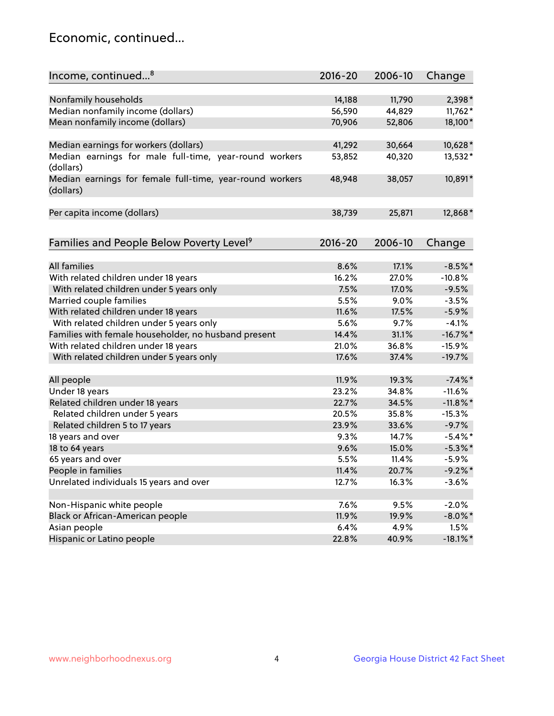## Economic, continued...

| Income, continued <sup>8</sup>                           | $2016 - 20$ | 2006-10 | Change      |
|----------------------------------------------------------|-------------|---------|-------------|
|                                                          |             |         |             |
| Nonfamily households                                     | 14,188      | 11,790  | 2,398*      |
| Median nonfamily income (dollars)                        | 56,590      | 44,829  | $11,762*$   |
| Mean nonfamily income (dollars)                          | 70,906      | 52,806  | 18,100*     |
|                                                          |             |         |             |
| Median earnings for workers (dollars)                    | 41,292      | 30,664  | 10,628*     |
| Median earnings for male full-time, year-round workers   | 53,852      | 40,320  | 13,532*     |
| (dollars)                                                |             |         |             |
| Median earnings for female full-time, year-round workers | 48,948      | 38,057  | 10,891*     |
| (dollars)                                                |             |         |             |
|                                                          |             |         |             |
| Per capita income (dollars)                              | 38,739      | 25,871  | 12,868*     |
|                                                          |             |         |             |
| Families and People Below Poverty Level <sup>9</sup>     | $2016 - 20$ | 2006-10 | Change      |
|                                                          |             |         |             |
| <b>All families</b>                                      | 8.6%        | 17.1%   | $-8.5%$ *   |
| With related children under 18 years                     | 16.2%       | 27.0%   | $-10.8%$    |
| With related children under 5 years only                 | 7.5%        | 17.0%   | $-9.5%$     |
| Married couple families                                  | 5.5%        | 9.0%    | $-3.5%$     |
| With related children under 18 years                     | 11.6%       | 17.5%   | $-5.9%$     |
| With related children under 5 years only                 | 5.6%        | 9.7%    | $-4.1%$     |
| Families with female householder, no husband present     | 14.4%       | 31.1%   | $-16.7\%$ * |
| With related children under 18 years                     | 21.0%       | 36.8%   | $-15.9%$    |
| With related children under 5 years only                 | 17.6%       | 37.4%   | $-19.7%$    |
|                                                          |             |         |             |
| All people                                               | 11.9%       | 19.3%   | $-7.4\%$ *  |
| Under 18 years                                           | 23.2%       | 34.8%   | $-11.6%$    |
| Related children under 18 years                          | 22.7%       | 34.5%   | $-11.8\%$ * |
| Related children under 5 years                           | 20.5%       | 35.8%   | $-15.3%$    |
| Related children 5 to 17 years                           | 23.9%       | 33.6%   | $-9.7%$     |
| 18 years and over                                        | 9.3%        | 14.7%   | $-5.4\%$ *  |
| 18 to 64 years                                           | 9.6%        | 15.0%   | $-5.3\%$ *  |
| 65 years and over                                        | 5.5%        | 11.4%   | $-5.9\%$    |
| People in families                                       | 11.4%       | 20.7%   | $-9.2%$ *   |
| Unrelated individuals 15 years and over                  | 12.7%       | 16.3%   | $-3.6%$     |
|                                                          |             |         |             |
| Non-Hispanic white people                                | 7.6%        | 9.5%    | $-2.0%$     |
| Black or African-American people                         | 11.9%       | 19.9%   | $-8.0\%$ *  |
| Asian people                                             | 6.4%        | 4.9%    | 1.5%        |
| Hispanic or Latino people                                | 22.8%       | 40.9%   | $-18.1\%$ * |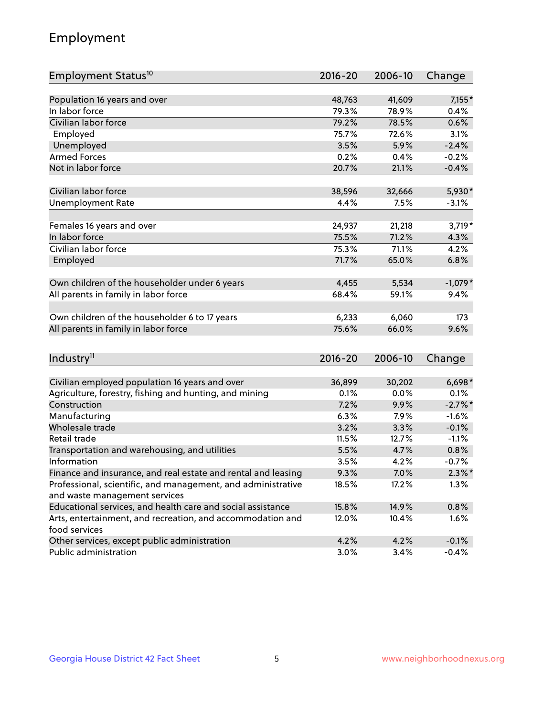## Employment

| Employment Status <sup>10</sup>                                             | $2016 - 20$ | 2006-10 | Change     |
|-----------------------------------------------------------------------------|-------------|---------|------------|
|                                                                             |             |         |            |
| Population 16 years and over<br>In labor force                              | 48,763      | 41,609  | $7,155*$   |
| Civilian labor force                                                        | 79.3%       | 78.9%   | 0.4%       |
|                                                                             | 79.2%       | 78.5%   | 0.6%       |
| Employed                                                                    | 75.7%       | 72.6%   | 3.1%       |
| Unemployed                                                                  | 3.5%        | 5.9%    | $-2.4%$    |
| <b>Armed Forces</b>                                                         | 0.2%        | 0.4%    | $-0.2%$    |
| Not in labor force                                                          | 20.7%       | 21.1%   | $-0.4%$    |
| Civilian labor force                                                        | 38,596      | 32,666  | 5,930*     |
| <b>Unemployment Rate</b>                                                    | 4.4%        | 7.5%    | $-3.1%$    |
|                                                                             |             |         |            |
| Females 16 years and over                                                   | 24,937      | 21,218  | $3,719*$   |
| In labor force                                                              | 75.5%       | 71.2%   | 4.3%       |
| Civilian labor force                                                        | 75.3%       | 71.1%   | 4.2%       |
| Employed                                                                    | 71.7%       | 65.0%   | 6.8%       |
|                                                                             |             |         |            |
| Own children of the householder under 6 years                               | 4,455       | 5,534   | $-1,079*$  |
| All parents in family in labor force                                        | 68.4%       | 59.1%   | 9.4%       |
|                                                                             |             |         |            |
| Own children of the householder 6 to 17 years                               | 6,233       | 6,060   | 173        |
| All parents in family in labor force                                        | 75.6%       | 66.0%   | 9.6%       |
|                                                                             |             |         |            |
| Industry <sup>11</sup>                                                      | $2016 - 20$ | 2006-10 | Change     |
|                                                                             |             |         |            |
| Civilian employed population 16 years and over                              | 36,899      | 30,202  | $6,698*$   |
| Agriculture, forestry, fishing and hunting, and mining                      | 0.1%        | 0.0%    | 0.1%       |
| Construction                                                                | 7.2%        | 9.9%    | $-2.7\%$ * |
| Manufacturing                                                               | 6.3%        | 7.9%    | $-1.6%$    |
| Wholesale trade                                                             | 3.2%        | 3.3%    | $-0.1%$    |
| Retail trade                                                                | 11.5%       | 12.7%   | $-1.1%$    |
| Transportation and warehousing, and utilities                               | 5.5%        | 4.7%    | 0.8%       |
| Information                                                                 | 3.5%        | 4.2%    | $-0.7%$    |
| Finance and insurance, and real estate and rental and leasing               | 9.3%        | 7.0%    | $2.3\%$ *  |
| Professional, scientific, and management, and administrative                | 18.5%       | 17.2%   | 1.3%       |
| and waste management services                                               |             |         |            |
| Educational services, and health care and social assistance                 | 15.8%       | 14.9%   | 0.8%       |
| Arts, entertainment, and recreation, and accommodation and<br>food services | 12.0%       | 10.4%   | 1.6%       |
| Other services, except public administration                                | 4.2%        | 4.2%    | $-0.1%$    |
| Public administration                                                       | 3.0%        | 3.4%    | $-0.4%$    |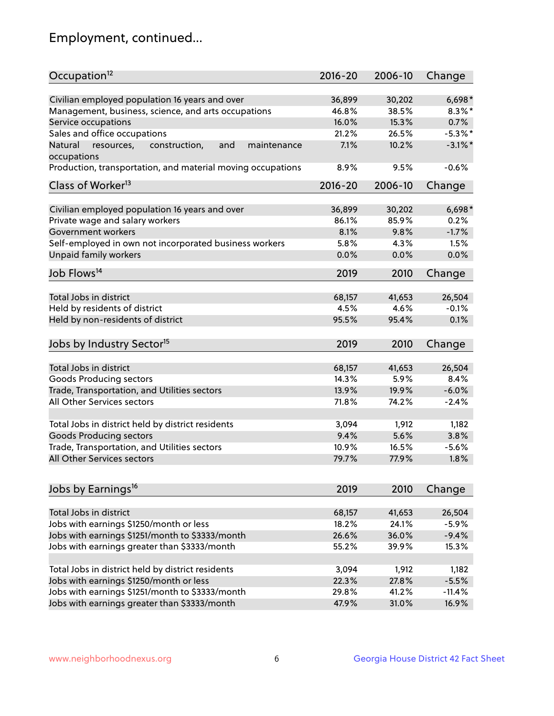## Employment, continued...

| Occupation <sup>12</sup>                                                    | $2016 - 20$     | 2006-10         | Change                |
|-----------------------------------------------------------------------------|-----------------|-----------------|-----------------------|
| Civilian employed population 16 years and over                              |                 |                 |                       |
|                                                                             | 36,899<br>46.8% | 30,202<br>38.5% | $6,698*$<br>$8.3\%$ * |
| Management, business, science, and arts occupations                         | 16.0%           | 15.3%           | 0.7%                  |
| Service occupations                                                         |                 |                 |                       |
| Sales and office occupations                                                | 21.2%           | 26.5%           | $-5.3\%$ *            |
| Natural<br>and<br>maintenance<br>resources,<br>construction,<br>occupations | 7.1%            | 10.2%           | $-3.1\%$ *            |
| Production, transportation, and material moving occupations                 | 8.9%            | 9.5%            | $-0.6%$               |
| Class of Worker <sup>13</sup>                                               | $2016 - 20$     | 2006-10         | Change                |
|                                                                             |                 |                 |                       |
| Civilian employed population 16 years and over                              | 36,899          | 30,202          | $6,698*$              |
| Private wage and salary workers                                             | 86.1%           | 85.9%           | 0.2%                  |
| Government workers                                                          | 8.1%            | 9.8%            | $-1.7%$               |
| Self-employed in own not incorporated business workers                      | 5.8%            | 4.3%            | 1.5%                  |
| Unpaid family workers                                                       | 0.0%            | 0.0%            | 0.0%                  |
| Job Flows <sup>14</sup>                                                     | 2019            | 2010            | Change                |
|                                                                             |                 |                 |                       |
| Total Jobs in district                                                      | 68,157          | 41,653          | 26,504                |
| Held by residents of district                                               | 4.5%            | 4.6%            | $-0.1%$               |
| Held by non-residents of district                                           | 95.5%           | 95.4%           | 0.1%                  |
| Jobs by Industry Sector <sup>15</sup>                                       | 2019            | 2010            | Change                |
|                                                                             |                 |                 |                       |
| Total Jobs in district                                                      | 68,157          | 41,653          | 26,504                |
| Goods Producing sectors                                                     | 14.3%           | 5.9%            | 8.4%                  |
| Trade, Transportation, and Utilities sectors                                | 13.9%           | 19.9%           | $-6.0%$               |
| All Other Services sectors                                                  | 71.8%           | 74.2%           | $-2.4%$               |
|                                                                             |                 |                 |                       |
| Total Jobs in district held by district residents                           | 3,094           | 1,912           | 1,182                 |
| <b>Goods Producing sectors</b>                                              | 9.4%            | 5.6%            | 3.8%                  |
| Trade, Transportation, and Utilities sectors                                | 10.9%           | 16.5%           | $-5.6%$               |
| All Other Services sectors                                                  | 79.7%           | 77.9%           | 1.8%                  |
|                                                                             |                 |                 |                       |
| Jobs by Earnings <sup>16</sup>                                              | 2019            | 2010            | Change                |
|                                                                             |                 |                 |                       |
| Total Jobs in district                                                      | 68,157          | 41,653          | 26,504                |
| Jobs with earnings \$1250/month or less                                     | 18.2%           | 24.1%           | $-5.9%$               |
| Jobs with earnings \$1251/month to \$3333/month                             | 26.6%           | 36.0%           | $-9.4%$               |
| Jobs with earnings greater than \$3333/month                                | 55.2%           | 39.9%           | 15.3%                 |
| Total Jobs in district held by district residents                           | 3,094           | 1,912           | 1,182                 |
| Jobs with earnings \$1250/month or less                                     | 22.3%           | 27.8%           | $-5.5%$               |
| Jobs with earnings \$1251/month to \$3333/month                             |                 |                 |                       |
|                                                                             | 29.8%           | 41.2%           | $-11.4%$              |
| Jobs with earnings greater than \$3333/month                                | 47.9%           | 31.0%           | 16.9%                 |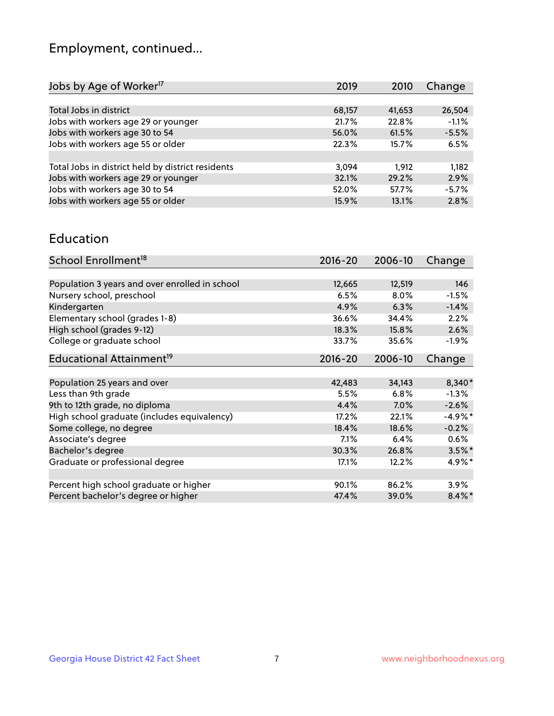## Employment, continued...

| Jobs by Age of Worker <sup>17</sup>               | 2019   | 2010   | Change  |
|---------------------------------------------------|--------|--------|---------|
|                                                   |        |        |         |
| Total Jobs in district                            | 68,157 | 41,653 | 26,504  |
| Jobs with workers age 29 or younger               | 21.7%  | 22.8%  | $-1.1%$ |
| Jobs with workers age 30 to 54                    | 56.0%  | 61.5%  | $-5.5%$ |
| Jobs with workers age 55 or older                 | 22.3%  | 15.7%  | 6.5%    |
|                                                   |        |        |         |
| Total Jobs in district held by district residents | 3,094  | 1.912  | 1,182   |
| Jobs with workers age 29 or younger               | 32.1%  | 29.2%  | 2.9%    |
| Jobs with workers age 30 to 54                    | 52.0%  | 57.7%  | $-5.7%$ |
| Jobs with workers age 55 or older                 | 15.9%  | 13.1%  | 2.8%    |
|                                                   |        |        |         |

#### Education

| School Enrollment <sup>18</sup>                | $2016 - 20$ | 2006-10 | Change    |
|------------------------------------------------|-------------|---------|-----------|
|                                                |             |         |           |
| Population 3 years and over enrolled in school | 12,665      | 12,519  | 146       |
| Nursery school, preschool                      | 6.5%        | 8.0%    | $-1.5%$   |
| Kindergarten                                   | 4.9%        | 6.3%    | $-1.4%$   |
| Elementary school (grades 1-8)                 | 36.6%       | 34.4%   | 2.2%      |
| High school (grades 9-12)                      | 18.3%       | 15.8%   | 2.6%      |
| College or graduate school                     | 33.7%       | 35.6%   | $-1.9%$   |
| Educational Attainment <sup>19</sup>           | $2016 - 20$ | 2006-10 | Change    |
|                                                |             |         |           |
| Population 25 years and over                   | 42,483      | 34,143  | $8,340*$  |
| Less than 9th grade                            | 5.5%        | 6.8%    | $-1.3%$   |
| 9th to 12th grade, no diploma                  | 4.4%        | 7.0%    | $-2.6%$   |
| High school graduate (includes equivalency)    | 17.2%       | 22.1%   | $-4.9\%*$ |
| Some college, no degree                        | 18.4%       | 18.6%   | $-0.2%$   |
| Associate's degree                             | 7.1%        | 6.4%    | 0.6%      |
| Bachelor's degree                              | 30.3%       | 26.8%   | $3.5\%$ * |
| Graduate or professional degree                | 17.1%       | 12.2%   | 4.9%*     |
|                                                |             |         |           |
| Percent high school graduate or higher         | 90.1%       | 86.2%   | 3.9%      |
| Percent bachelor's degree or higher            | 47.4%       | 39.0%   | $8.4\%$   |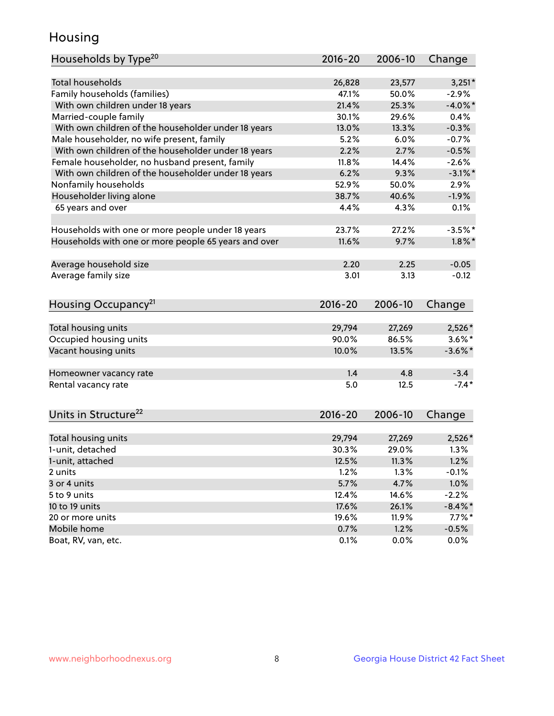## Housing

| Households by Type <sup>20</sup>                     | 2016-20     | 2006-10 | Change     |
|------------------------------------------------------|-------------|---------|------------|
|                                                      |             |         |            |
| <b>Total households</b>                              | 26,828      | 23,577  | $3,251*$   |
| Family households (families)                         | 47.1%       | 50.0%   | $-2.9%$    |
| With own children under 18 years                     | 21.4%       | 25.3%   | $-4.0\%$ * |
| Married-couple family                                | 30.1%       | 29.6%   | 0.4%       |
| With own children of the householder under 18 years  | 13.0%       | 13.3%   | $-0.3%$    |
| Male householder, no wife present, family            | 5.2%        | 6.0%    | $-0.7%$    |
| With own children of the householder under 18 years  | 2.2%        | 2.7%    | $-0.5%$    |
| Female householder, no husband present, family       | 11.8%       | 14.4%   | $-2.6%$    |
| With own children of the householder under 18 years  | 6.2%        | 9.3%    | $-3.1\%$ * |
| Nonfamily households                                 | 52.9%       | 50.0%   | 2.9%       |
| Householder living alone                             | 38.7%       | 40.6%   | $-1.9%$    |
| 65 years and over                                    | 4.4%        | 4.3%    | 0.1%       |
|                                                      |             |         |            |
| Households with one or more people under 18 years    | 23.7%       | 27.2%   | $-3.5%$ *  |
| Households with one or more people 65 years and over | 11.6%       | 9.7%    | $1.8\%$ *  |
|                                                      |             |         |            |
| Average household size                               | 2.20        | 2.25    | $-0.05$    |
| Average family size                                  | 3.01        | 3.13    | $-0.12$    |
|                                                      |             |         |            |
|                                                      | $2016 - 20$ | 2006-10 |            |
| Housing Occupancy <sup>21</sup>                      |             |         | Change     |
| Total housing units                                  | 29,794      | 27,269  | 2,526*     |
| Occupied housing units                               | 90.0%       | 86.5%   | $3.6\%$ *  |
| Vacant housing units                                 | 10.0%       | 13.5%   | $-3.6\%$ * |
|                                                      |             |         |            |
| Homeowner vacancy rate                               | 1.4         | 4.8     | $-3.4$     |
| Rental vacancy rate                                  | 5.0         | 12.5    | $-7.4*$    |
|                                                      |             |         |            |
| Units in Structure <sup>22</sup>                     | $2016 - 20$ | 2006-10 | Change     |
|                                                      |             |         |            |
| Total housing units                                  | 29,794      | 27,269  | $2,526*$   |
| 1-unit, detached                                     | 30.3%       | 29.0%   | 1.3%       |
| 1-unit, attached                                     | 12.5%       | 11.3%   | 1.2%       |
| 2 units                                              | 1.2%        | 1.3%    | $-0.1%$    |
| 3 or 4 units                                         | 5.7%        | 4.7%    | 1.0%       |
| 5 to 9 units                                         | 12.4%       | 14.6%   | $-2.2%$    |
| 10 to 19 units                                       | 17.6%       | 26.1%   | $-8.4\%$ * |
| 20 or more units                                     | 19.6%       | 11.9%   | $7.7\%$ *  |
| Mobile home                                          | 0.7%        | 1.2%    | $-0.5%$    |
| Boat, RV, van, etc.                                  | 0.1%        | 0.0%    | 0.0%       |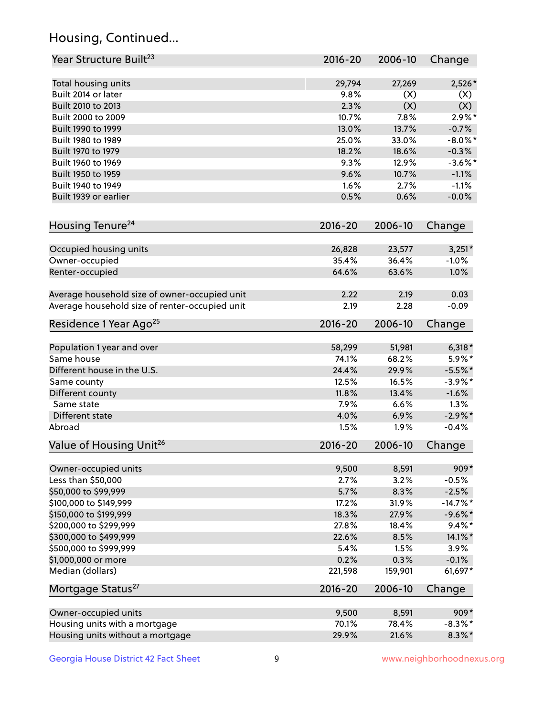## Housing, Continued...

| Year Structure Built <sup>23</sup>             | 2016-20     | 2006-10 | Change     |
|------------------------------------------------|-------------|---------|------------|
| Total housing units                            | 29,794      | 27,269  | 2,526*     |
| Built 2014 or later                            | 9.8%        | (X)     | (X)        |
| Built 2010 to 2013                             | 2.3%        | (X)     | (X)        |
| Built 2000 to 2009                             | 10.7%       | 7.8%    | $2.9\%$ *  |
| Built 1990 to 1999                             | 13.0%       | 13.7%   | $-0.7%$    |
| Built 1980 to 1989                             | 25.0%       | 33.0%   | $-8.0\%$ * |
| Built 1970 to 1979                             | 18.2%       | 18.6%   | $-0.3%$    |
| Built 1960 to 1969                             | 9.3%        | 12.9%   | $-3.6\%$ * |
| Built 1950 to 1959                             | 9.6%        | 10.7%   | $-1.1%$    |
| Built 1940 to 1949                             | 1.6%        | 2.7%    | $-1.1%$    |
| Built 1939 or earlier                          | 0.5%        | 0.6%    | $-0.0%$    |
| Housing Tenure <sup>24</sup>                   | 2016-20     | 2006-10 | Change     |
|                                                |             |         |            |
| Occupied housing units                         | 26,828      | 23,577  | $3,251*$   |
| Owner-occupied                                 | 35.4%       | 36.4%   | $-1.0%$    |
| Renter-occupied                                | 64.6%       | 63.6%   | 1.0%       |
| Average household size of owner-occupied unit  | 2.22        | 2.19    | 0.03       |
| Average household size of renter-occupied unit | 2.19        | 2.28    | $-0.09$    |
| Residence 1 Year Ago <sup>25</sup>             | 2016-20     | 2006-10 | Change     |
| Population 1 year and over                     | 58,299      | 51,981  | $6,318*$   |
| Same house                                     | 74.1%       | 68.2%   | $5.9\%*$   |
| Different house in the U.S.                    | 24.4%       | 29.9%   | $-5.5%$ *  |
| Same county                                    | 12.5%       | 16.5%   | $-3.9\%$ * |
| Different county                               | 11.8%       | 13.4%   | $-1.6%$    |
| Same state                                     | 7.9%        | 6.6%    | 1.3%       |
| Different state                                | 4.0%        | 6.9%    | $-2.9\%$ * |
| Abroad                                         | 1.5%        | 1.9%    | $-0.4%$    |
| Value of Housing Unit <sup>26</sup>            | $2016 - 20$ | 2006-10 | Change     |
| Owner-occupied units                           | 9,500       | 8,591   | 909*       |
| Less than \$50,000                             | 2.7%        | 3.2%    | $-0.5%$    |
| \$50,000 to \$99,999                           | 5.7%        | 8.3%    | $-2.5%$    |
| \$100,000 to \$149,999                         | 17.2%       | 31.9%   | $-14.7%$ * |
| \$150,000 to \$199,999                         | 18.3%       | 27.9%   | $-9.6%$ *  |
| \$200,000 to \$299,999                         | 27.8%       | 18.4%   | $9.4\%*$   |
| \$300,000 to \$499,999                         | 22.6%       | 8.5%    | 14.1%*     |
| \$500,000 to \$999,999                         | 5.4%        | 1.5%    | 3.9%       |
| \$1,000,000 or more                            | 0.2%        | 0.3%    | $-0.1%$    |
| Median (dollars)                               | 221,598     | 159,901 | 61,697*    |
| Mortgage Status <sup>27</sup>                  | $2016 - 20$ | 2006-10 | Change     |
| Owner-occupied units                           | 9,500       | 8,591   | 909*       |
| Housing units with a mortgage                  | 70.1%       | 78.4%   | $-8.3\%$ * |
| Housing units without a mortgage               | 29.9%       | 21.6%   | $8.3\%$ *  |
|                                                |             |         |            |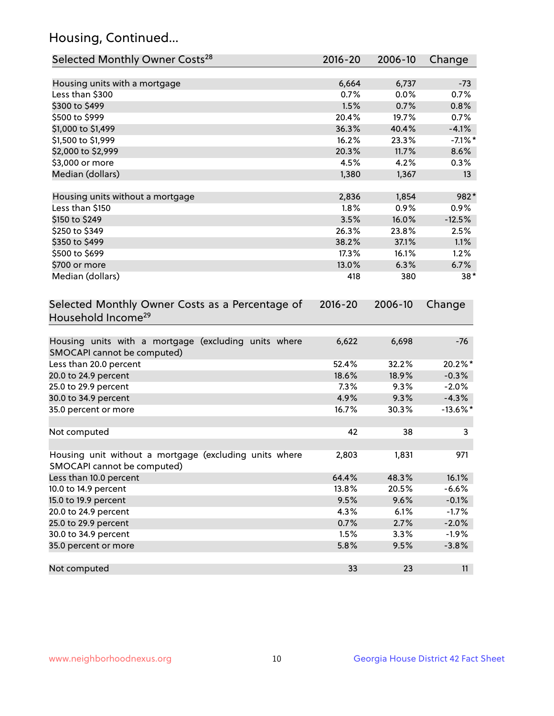## Housing, Continued...

| Selected Monthly Owner Costs <sup>28</sup>                                            | 2016-20       | 2006-10       | Change       |
|---------------------------------------------------------------------------------------|---------------|---------------|--------------|
| Housing units with a mortgage                                                         | 6,664         | 6,737         | $-73$        |
| Less than \$300                                                                       | 0.7%          | 0.0%          | 0.7%         |
| \$300 to \$499                                                                        | 1.5%          | 0.7%          | 0.8%         |
| \$500 to \$999                                                                        | 20.4%         | 19.7%         | 0.7%         |
| \$1,000 to \$1,499                                                                    | 36.3%         | 40.4%         | $-4.1%$      |
| \$1,500 to \$1,999                                                                    | 16.2%         | 23.3%         | $-7.1\%$ *   |
| \$2,000 to \$2,999                                                                    | 20.3%         | 11.7%         | 8.6%         |
| \$3,000 or more                                                                       | 4.5%          | 4.2%          | 0.3%         |
| Median (dollars)                                                                      | 1,380         | 1,367         | 13           |
|                                                                                       |               |               |              |
| Housing units without a mortgage<br>Less than \$150                                   | 2,836<br>1.8% | 1,854<br>0.9% | 982*<br>0.9% |
| \$150 to \$249                                                                        | 3.5%          | 16.0%         | $-12.5%$     |
| \$250 to \$349                                                                        | 26.3%         | 23.8%         | 2.5%         |
| \$350 to \$499                                                                        | 38.2%         | 37.1%         | 1.1%         |
| \$500 to \$699                                                                        | 17.3%         | 16.1%         | 1.2%         |
| \$700 or more                                                                         | 13.0%         | 6.3%          | 6.7%         |
| Median (dollars)                                                                      | 418           | 380           | $38*$        |
| Selected Monthly Owner Costs as a Percentage of<br>Household Income <sup>29</sup>     | $2016 - 20$   | 2006-10       | Change       |
|                                                                                       |               |               |              |
| Housing units with a mortgage (excluding units where<br>SMOCAPI cannot be computed)   | 6,622         | 6,698         | $-76$        |
| Less than 20.0 percent                                                                | 52.4%         | 32.2%         | 20.2%*       |
| 20.0 to 24.9 percent                                                                  | 18.6%         | 18.9%         | $-0.3%$      |
| 25.0 to 29.9 percent                                                                  | 7.3%          | 9.3%          | $-2.0%$      |
| 30.0 to 34.9 percent                                                                  | 4.9%          | 9.3%          | $-4.3%$      |
| 35.0 percent or more                                                                  | 16.7%         | 30.3%         | $-13.6\%$ *  |
| Not computed                                                                          | 42            | 38            | 3            |
| Housing unit without a mortgage (excluding units where<br>SMOCAPI cannot be computed) | 2,803         | 1,831         | 971          |
| Less than 10.0 percent                                                                | 64.4%         | 48.3%         | 16.1%        |
| 10.0 to 14.9 percent                                                                  | 13.8%         | 20.5%         | $-6.6%$      |
| 15.0 to 19.9 percent                                                                  | 9.5%          | 9.6%          | $-0.1%$      |
| 20.0 to 24.9 percent                                                                  | 4.3%          | 6.1%          | $-1.7%$      |
| 25.0 to 29.9 percent                                                                  | 0.7%          | 2.7%          | $-2.0%$      |
| 30.0 to 34.9 percent                                                                  | 1.5%          | 3.3%          | $-1.9%$      |
| 35.0 percent or more                                                                  | 5.8%          | 9.5%          | $-3.8%$      |
| Not computed                                                                          | 33            | 23            | 11           |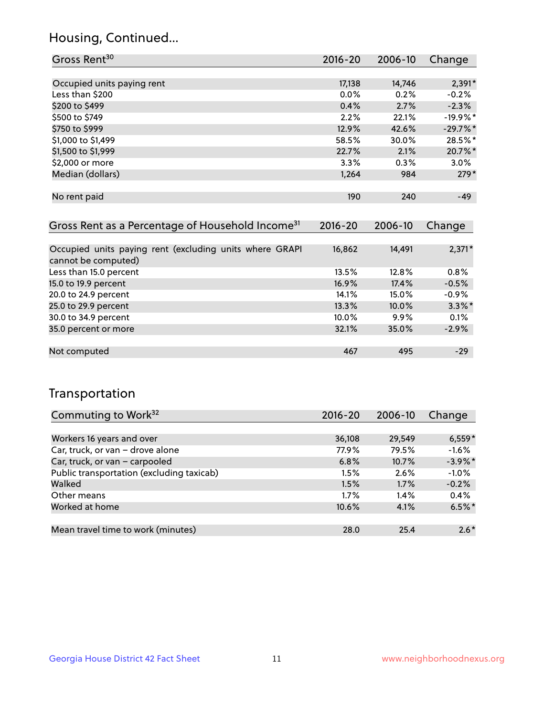### Housing, Continued...

| Gross Rent <sup>30</sup>   | 2016-20 | 2006-10 | Change     |
|----------------------------|---------|---------|------------|
|                            |         |         |            |
| Occupied units paying rent | 17,138  | 14,746  | $2,391*$   |
| Less than \$200            | $0.0\%$ | 0.2%    | $-0.2%$    |
| \$200 to \$499             | 0.4%    | 2.7%    | $-2.3%$    |
| \$500 to \$749             | 2.2%    | 22.1%   | $-19.9%$ * |
| \$750 to \$999             | 12.9%   | 42.6%   | $-29.7%$ * |
| \$1,000 to \$1,499         | 58.5%   | 30.0%   | 28.5%*     |
| \$1,500 to \$1,999         | 22.7%   | 2.1%    | 20.7%*     |
| \$2,000 or more            | 3.3%    | 0.3%    | $3.0\%$    |
| Median (dollars)           | 1,264   | 984     | $279*$     |
|                            |         |         |            |
| No rent paid               | 190     | 240     | $-49$      |
|                            |         |         |            |

| Gross Rent as a Percentage of Household Income <sup>31</sup>                   | $2016 - 20$ | 2006-10 | Change    |
|--------------------------------------------------------------------------------|-------------|---------|-----------|
|                                                                                |             |         |           |
| Occupied units paying rent (excluding units where GRAPI<br>cannot be computed) | 16,862      | 14,491  | $2,371*$  |
| Less than 15.0 percent                                                         | 13.5%       | 12.8%   | 0.8%      |
| 15.0 to 19.9 percent                                                           | 16.9%       | 17.4%   | $-0.5%$   |
| 20.0 to 24.9 percent                                                           | 14.1%       | 15.0%   | $-0.9%$   |
| 25.0 to 29.9 percent                                                           | 13.3%       | 10.0%   | $3.3\%$ * |
| 30.0 to 34.9 percent                                                           | 10.0%       | 9.9%    | 0.1%      |
| 35.0 percent or more                                                           | 32.1%       | 35.0%   | $-2.9%$   |
|                                                                                |             |         |           |
| Not computed                                                                   | 467         | 495     | $-29$     |

## Transportation

| Commuting to Work <sup>32</sup>           | 2016-20 | 2006-10 | Change     |
|-------------------------------------------|---------|---------|------------|
|                                           |         |         |            |
| Workers 16 years and over                 | 36,108  | 29,549  | $6,559*$   |
| Car, truck, or van - drove alone          | 77.9%   | 79.5%   | $-1.6%$    |
| Car, truck, or van - carpooled            | 6.8%    | 10.7%   | $-3.9\%$ * |
| Public transportation (excluding taxicab) | 1.5%    | 2.6%    | $-1.0%$    |
| Walked                                    | 1.5%    | 1.7%    | $-0.2%$    |
| Other means                               | $1.7\%$ | $1.4\%$ | 0.4%       |
| Worked at home                            | 10.6%   | 4.1%    | $6.5%$ *   |
|                                           |         |         |            |
| Mean travel time to work (minutes)        | 28.0    | 25.4    | $2.6*$     |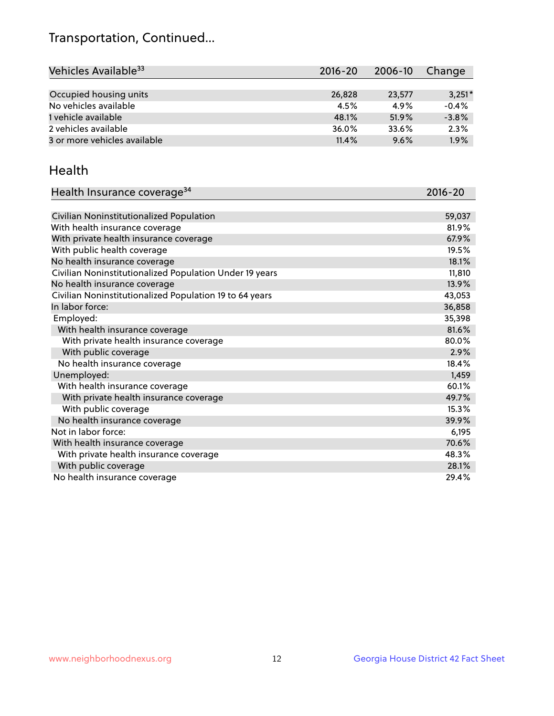## Transportation, Continued...

| Vehicles Available <sup>33</sup> | 2016-20 | 2006-10 | Change   |
|----------------------------------|---------|---------|----------|
|                                  |         |         |          |
| Occupied housing units           | 26,828  | 23,577  | $3,251*$ |
| No vehicles available            | 4.5%    | 4.9%    | $-0.4%$  |
| 1 vehicle available              | 48.1%   | 51.9%   | $-3.8%$  |
| 2 vehicles available             | 36.0%   | 33.6%   | 2.3%     |
| 3 or more vehicles available     | 11.4%   | 9.6%    | 1.9%     |

#### Health

| Health Insurance coverage <sup>34</sup>                 | 2016-20 |
|---------------------------------------------------------|---------|
|                                                         |         |
| Civilian Noninstitutionalized Population                | 59,037  |
| With health insurance coverage                          | 81.9%   |
| With private health insurance coverage                  | 67.9%   |
| With public health coverage                             | 19.5%   |
| No health insurance coverage                            | 18.1%   |
| Civilian Noninstitutionalized Population Under 19 years | 11,810  |
| No health insurance coverage                            | 13.9%   |
| Civilian Noninstitutionalized Population 19 to 64 years | 43,053  |
| In labor force:                                         | 36,858  |
| Employed:                                               | 35,398  |
| With health insurance coverage                          | 81.6%   |
| With private health insurance coverage                  | 80.0%   |
| With public coverage                                    | 2.9%    |
| No health insurance coverage                            | 18.4%   |
| Unemployed:                                             | 1,459   |
| With health insurance coverage                          | 60.1%   |
| With private health insurance coverage                  | 49.7%   |
| With public coverage                                    | 15.3%   |
| No health insurance coverage                            | 39.9%   |
| Not in labor force:                                     | 6,195   |
| With health insurance coverage                          | 70.6%   |
| With private health insurance coverage                  | 48.3%   |
| With public coverage                                    | 28.1%   |
| No health insurance coverage                            | 29.4%   |